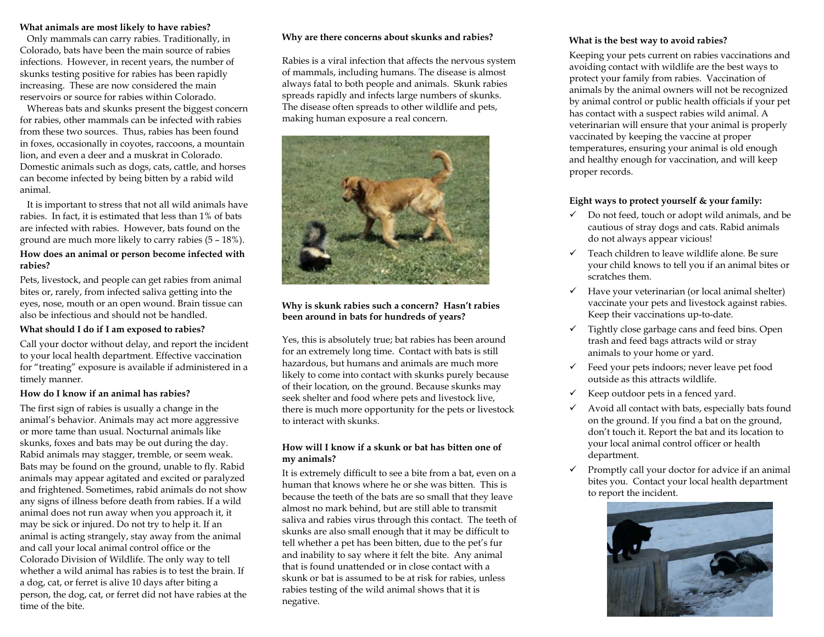### **What animals are most likely to have rabies?**

 Only mammals can carry rabies. Traditionally, in Colorado, bats have been the main source of rabies infections. However, in recent years, the number of skunks testing positive for rabies has been rapidly increasing. These are now considered the main reservoirs or source for rabies within Colorado.

 Whereas bats and skunks present the biggest concern for rabies, other mammals can be infected with rabies from these two sources. Thus, rabies has been found in foxes, occasionally in coyotes, raccoons, a mountain lion, and even a deer and a muskrat in Colorado. Domestic animals such as dogs, cats, cattle, and horses can become infected by being bitten by a rabid wild animal.

 It is important to stress that not all wild animals have rabies. In fact, it is estimated that less than 1% of bats are infected with rabies. However, bats found on the ground are much more likely to carry rabies (5 – 18%).

### **How does an animal or person become infected with rabies?**

Pets, livestock, and people can get rabies from animal bites or, rarely, from infected saliva getting into the eyes, nose, mouth or an open wound. Brain tissue can also be infectious and should not be handled.

# **What should I do if I am exposed to rabies?**

Call your doctor without delay, and report the incident to your local health department. Effective vaccination for "treating" exposure is available if administered in a timely manner.

### **How do I know if an animal has rabies?**

The first sign of rabies is usually a change in the animal's behavior. Animals may act more aggressive or more tame than usual. Nocturnal animals like skunks, foxes and bats may be out during the day. Rabid animals may stagger, tremble, or seem weak. Bats may be found on the ground, unable to fly. Rabid animals may appear agitated and excited or paralyzed and frightened. Sometimes, rabid animals do not show any signs of illness before death from rabies. If a wild animal does not run away when you approach it, it may be sick or injured. Do not try to help it. If an animal is acting strangely, stay away from the animal and call your local animal control office or the Colorado Division of Wildlife. The only way to tell whether a wild animal has rabies is to test the brain. If a dog, cat, or ferret is alive 10 days after biting a person, the dog, cat, or ferret did not have rabies at the time of the bite.

### **Why are there concerns about skunks and rabies?**

Rabies is a viral infection that affects the nervous system of mammals, including humans. The disease is almost always fatal to both people and animals. Skunk rabies spreads rapidly and infects large numbers of skunks. The disease often spreads to other wildlife and pets, making human exposure a real concern.



# **Why is skunk rabies such a concern? Hasn't rabies been around in bats for hundreds of years?**

Yes, this is absolutely true; bat rabies has been around for an extremely long time. Contact with bats is still hazardous, but humans and animals are much more likely to come into contact with skunks purely because of their location, on the ground. Because skunks may seek shelter and food where pets and livestock live, there is much more opportunity for the pets or livestock to interact with skunks.

# **How will I know if a skunk or bat has bitten one of my animals?**

It is extremely difficult to see a bite from a bat, even on a human that knows where he or she was bitten. This is because the teeth of the bats are so small that they leave almost no mark behind, but are still able to transmit saliva and rabies virus through this contact. The teeth of skunks are also small enough that it may be difficult to tell whether a pet has been bitten, due to the pet's fur and inability to say where it felt the bite. Any animal that is found unattended or in close contact with a skunk or bat is assumed to be at risk for rabies, unless rabies testing of the wild animal shows that it is negative.

## **What is the best way to avoid rabies?**

Keeping your pets current on rabies vaccinations and avoiding contact with wildlife are the best ways to protect your family from rabies. Vaccination of animals by the animal owners will not be recognized by animal control or public health officials if your pet has contact with a suspect rabies wild animal. A veterinarian will ensure that your animal is properly vaccinated by keeping the vaccine at proper temperatures, ensuring your animal is old enough and healthy enough for vaccination, and will keep proper records.

# **Eight ways to protect yourself & your family:**

- $\checkmark$  Do not feed, touch or adopt wild animals, and be cautious of stray dogs and cats. Rabid animals do not always appear vicious!
- $\checkmark$  Teach children to leave wildlife alone. Be sure your child knows to tell you if an animal bites or scratches them.
- $\checkmark$  Have your veterinarian (or local animal shelter) vaccinate your pets and livestock against rabies. Keep their vaccinations up-to-date.
- $\checkmark$  Tightly close garbage cans and feed bins. Open trash and feed bags attracts wild or stray animals to your home or yard.
- $\checkmark$  Feed your pets indoors; never leave pet food outside as this attracts wildlife.
- $\checkmark$ Keep outdoor pets in a fenced yard.
- $\checkmark$  Avoid all contact with bats, especially bats found on the ground. If you find a bat on the ground, don't touch it. Report the bat and its location to your local animal control officer or health department.
- $\checkmark$  Promptly call your doctor for advice if an animal bites you. Contact your local health department to report the incident.